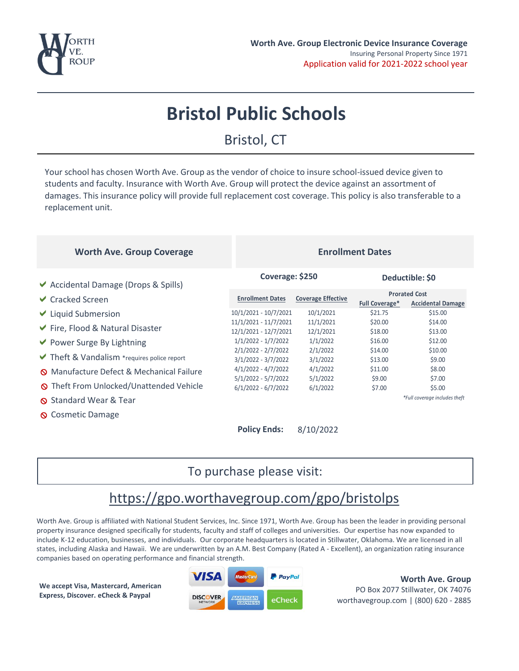

## **Bristol Public Schools**

### Bristol, CT

Your school has chosen Worth Ave. Group as the vendor of choice to insure school-issued device given to students and faculty. Insurance with Worth Ave. Group will protect the device against an assortment of damages. This insurance policy will provide full replacement cost coverage. This policy is also transferable to a replacement unit.

#### **Worth Ave. Group Coverage <b>Enrollment** Dates

#### $\vee$  Accidental Damage (Drops & Spills)  $\vee$  Cracked Screen  $\vee$  Liquid Submersion  $\vee$  Fire, Flood & Natural Disaster  $\vee$  Power Surge By Lightning  $\vee$  Theft & Vandalism \*requires police report x Manufacture Defect & Mechanical Failure **S** Theft From Unlocked/Unattended Vehicle Standard Wear & Tear **Q** Cosmetic Damage **Coverage: \$250 Deductible: \$0 Policy Ends:** 8/10/2022 **Full Coverage\* Accidental Damage** 10/1/2021 - 10/7/2021 10/1/2021 \$21.75 \$15.00 11/1/2021 - 11/7/2021 11/1/2021 \$20.00 \$14.00 12/1/2021 - 12/7/2021 12/1/2021 \$18.00 \$13.00 1/1/2022 - 1/7/2022 1/1/2022 \$16.00 \$12.00 2/1/2022 - 2/7/2022 2/1/2022 \$14.00 \$10.00 3/1/2022 - 3/7/2022 3/1/2022 \$13.00 \$9.00 4/1/2022 - 4/7/2022 4/1/2022 \$11.00 \$8.00 5/1/2022 - 5/7/2022 5/1/2022 \$9.00 \$7.00 6/1/2022 - 6/7/2022 6/1/2022 \$7.00 \$5.00 **Enrollment Dates Coverage Effective Prorated Cost** *\*Full coverage includes theft*

#### To purchase please visit:

### https://gpo.worthavegroup.com/gpo/bristolps

Worth Ave. Group is affiliated with National Student Services, Inc. Since 1971, Worth Ave. Group has been the leader in providing personal property insurance designed specifically for students, faculty and staff of colleges and universities. Our expertise has now expanded to include K-12 education, businesses, and individuals. Our corporate headquarters is located in Stillwater, Oklahoma. We are licensed in all states, including Alaska and Hawaii. We are underwritten by an A.M. Best Company (Rated A - Excellent), an organization rating insurance companies based on operating performance and financial strength.

**We accept Visa, Mastercard, American Express, Discover. eCheck & Paypal**



**Worth Ave. Group** PO Box 2077 Stillwater, OK 74076 worthavegroup.com | (800) 620 - 2885